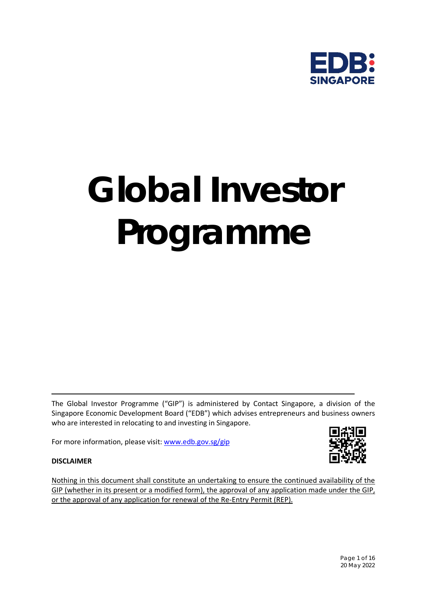

# *Global Investor Programme*

The Global Investor Programme ("GIP") is administered by Contact Singapore, a division of the Singapore Economic Development Board ("EDB") which advises entrepreneurs and business owners who are interested in relocating to and investing in Singapore.

For more information, please visit: [www.edb.gov.sg/gip](http://www.edb.gov.sg/gip)



## **DISCLAIMER**

Nothing in this document shall constitute an undertaking to ensure the continued availability of the GIP (whether in its present or a modified form), the approval of any application made under the GIP, or the approval of any application for renewal of the Re-Entry Permit (REP).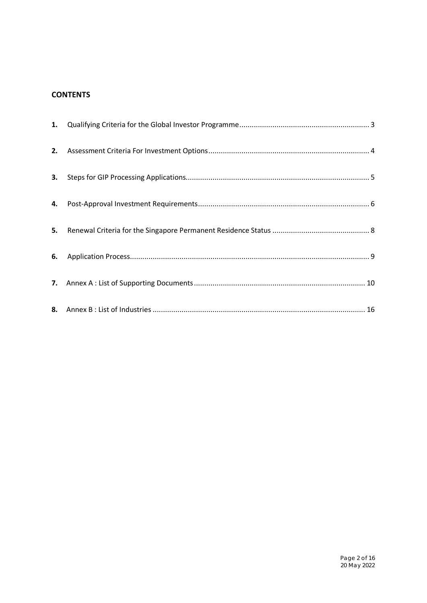# **CONTENTS**

| 4. |  |
|----|--|
|    |  |
| 6. |  |
|    |  |
|    |  |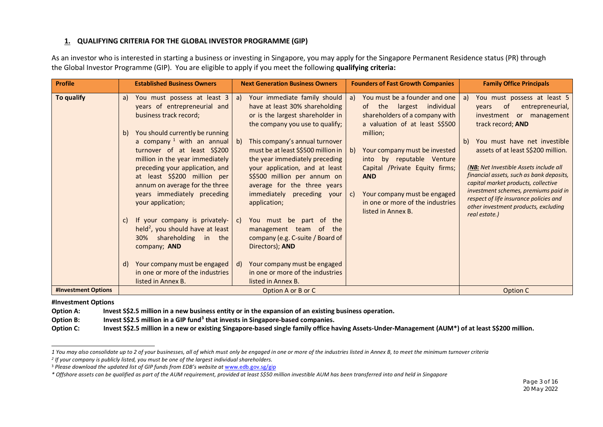## <span id="page-2-3"></span><span id="page-2-2"></span><span id="page-2-1"></span>**1. QUALIFYING CRITERIA FOR THE GLOBAL INVESTOR PROGRAMME (GIP)**

As an investor who is interested in starting a business or investing in Singapore, you may apply for the Singapore Permanent Residence status (PR) through the Global Investor Programme (GIP). You are eligible to apply if you meet the following **qualifying criteria:**

| <b>Profile</b>      | <b>Established Business Owners</b>                                                                                                                                                                                                                                                                                                                                                                                                    | <b>Next Generation Business Owners</b>                                                                                                                                                                                                                                                                                                                                                                                                               | <b>Founders of Fast Growth Companies</b>                                                                                                                                                                                                                                                                                                                                | <b>Family Office Principals</b>                                                                                                                                                                                                                                                                                                                                                                                                                                              |
|---------------------|---------------------------------------------------------------------------------------------------------------------------------------------------------------------------------------------------------------------------------------------------------------------------------------------------------------------------------------------------------------------------------------------------------------------------------------|------------------------------------------------------------------------------------------------------------------------------------------------------------------------------------------------------------------------------------------------------------------------------------------------------------------------------------------------------------------------------------------------------------------------------------------------------|-------------------------------------------------------------------------------------------------------------------------------------------------------------------------------------------------------------------------------------------------------------------------------------------------------------------------------------------------------------------------|------------------------------------------------------------------------------------------------------------------------------------------------------------------------------------------------------------------------------------------------------------------------------------------------------------------------------------------------------------------------------------------------------------------------------------------------------------------------------|
| To qualify          | You must possess at least 3<br>a)<br>years of entrepreneurial and<br>business track record;<br>You should currently be running<br>b)<br>a company $1$ with an annual<br>turnover of at least S\$200<br>million in the year immediately<br>preceding your application, and<br>at least S\$200 million per<br>annum on average for the three<br>years immediately preceding<br>your application;<br>If your company is privately-<br>C) | Your immediate family should<br>a)<br>have at least 30% shareholding<br>or is the largest shareholder in<br>the company you use to qualify;<br>This company's annual turnover<br>$\mathsf{b}$<br>must be at least S\$500 million in<br>the year immediately preceding<br>your application, and at least<br>S\$500 million per annum on<br>average for the three years<br>immediately preceding your<br>application;<br>You must be part of the<br>C) | You must be a founder and one<br>a)<br>of the<br>largest individual<br>shareholders of a company with<br>a valuation of at least S\$500<br>million;<br>Your company must be invested<br>b)<br>into by reputable Venture<br>Capital /Private Equity firms;<br><b>AND</b><br>Your company must be engaged<br>C)<br>in one or more of the industries<br>listed in Annex B. | You must possess at least 5<br>a)<br>0f<br>entrepreneurial,<br>vears<br>or management<br>investment<br>track record; AND<br>You must have net investible<br>b)<br>assets of at least S\$200 million.<br>(NB: Net Investible Assets include all<br>financial assets, such as bank deposits,<br>capital market products, collective<br>investment schemes, premiums paid in<br>respect of life insurance policies and<br>other investment products, excluding<br>real estate.) |
|                     | held <sup>2</sup> , you should have at least<br>30% shareholding<br>in the<br>company; AND<br>Your company must be engaged<br>d)<br>in one or more of the industries<br>listed in Annex B.                                                                                                                                                                                                                                            | management team of<br>the<br>company (e.g. C-suite / Board of<br>Directors); AND<br>Your company must be engaged<br>d)<br>in one or more of the industries<br>listed in Annex B.                                                                                                                                                                                                                                                                     |                                                                                                                                                                                                                                                                                                                                                                         |                                                                                                                                                                                                                                                                                                                                                                                                                                                                              |
| #Investment Options |                                                                                                                                                                                                                                                                                                                                                                                                                                       | Option A or B or C                                                                                                                                                                                                                                                                                                                                                                                                                                   |                                                                                                                                                                                                                                                                                                                                                                         | Option C                                                                                                                                                                                                                                                                                                                                                                                                                                                                     |

#### <span id="page-2-0"></span>**#Investment Options**

**Option A: Invest S\$2.5 million in a new business entity or in the expansion of an existing business operation.**

**Option B: Invest S\$2.5 million in a GIP fund[3](#page-2-3) that invests in Singapore-based companies.**

**Option C: Invest S\$2.5 million in a new or existing Singapore-based single family office having Assets-Under-Management (AUM\*) of at least S\$200 million.**

*<sup>1</sup> You may also consolidate up to 2 of your businesses, all of which must only be engaged in one or more of the industries listed in Annex B, to meet the minimum turnover criteria*

*<sup>2</sup> If your company is publicly listed, you must be one of the largest individual shareholders.* 

<sup>&</sup>lt;sup>3</sup> Please download the updated list of GIP funds from EDB's website at [www.edb.gov.sg/gip](http://www.edb.gov.sg/gip)

*<sup>\*</sup> Offshore assets can be qualified as part of the AUM requirement, provided at least S\$50 million investible AUM has been transferred into and held in Singapore*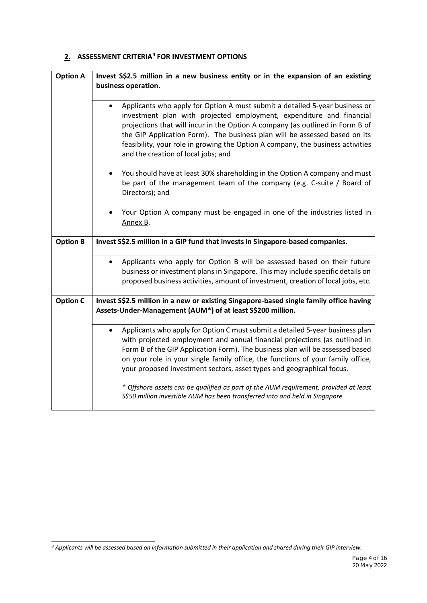## <span id="page-3-0"></span>**2. ASSESSMENT CRITERIA[4](#page-3-1) FOR INVESTMENT OPTIONS**

| <b>Option A</b> | Invest S\$2.5 million in a new business entity or in the expansion of an existing<br>business operation.                                                                                                                                                                                                                                                                                                 |
|-----------------|----------------------------------------------------------------------------------------------------------------------------------------------------------------------------------------------------------------------------------------------------------------------------------------------------------------------------------------------------------------------------------------------------------|
|                 | Applicants who apply for Option A must submit a detailed 5-year business or                                                                                                                                                                                                                                                                                                                              |
|                 | investment plan with projected employment, expenditure and financial<br>projections that will incur in the Option A company (as outlined in Form B of<br>the GIP Application Form). The business plan will be assessed based on its<br>feasibility, your role in growing the Option A company, the business activities<br>and the creation of local jobs; and                                            |
|                 | You should have at least 30% shareholding in the Option A company and must<br>$\bullet$<br>be part of the management team of the company (e.g. C-suite / Board of<br>Directors); and                                                                                                                                                                                                                     |
|                 | Your Option A company must be engaged in one of the industries listed in<br>Annex B.                                                                                                                                                                                                                                                                                                                     |
| <b>Option B</b> | Invest S\$2.5 million in a GIP fund that invests in Singapore-based companies.                                                                                                                                                                                                                                                                                                                           |
|                 | Applicants who apply for Option B will be assessed based on their future<br>business or investment plans in Singapore. This may include specific details on<br>proposed business activities, amount of investment, creation of local jobs, etc.                                                                                                                                                          |
| <b>Option C</b> | Invest S\$2.5 million in a new or existing Singapore-based single family office having<br>Assets-Under-Management (AUM*) of at least S\$200 million.                                                                                                                                                                                                                                                     |
|                 | Applicants who apply for Option C must submit a detailed 5-year business plan<br>with projected employment and annual financial projections (as outlined in<br>Form B of the GIP Application Form). The business plan will be assessed based<br>on your role in your single family office, the functions of your family office,<br>your proposed investment sectors, asset types and geographical focus. |
|                 | * Offshore assets can be qualified as part of the AUM requirement, provided at least<br>S\$50 million investible AUM has been transferred into and held in Singapore.                                                                                                                                                                                                                                    |

<span id="page-3-1"></span>*<sup>4</sup> Applicants will be assessed based on information submitted in their application and shared during their GIP interview.*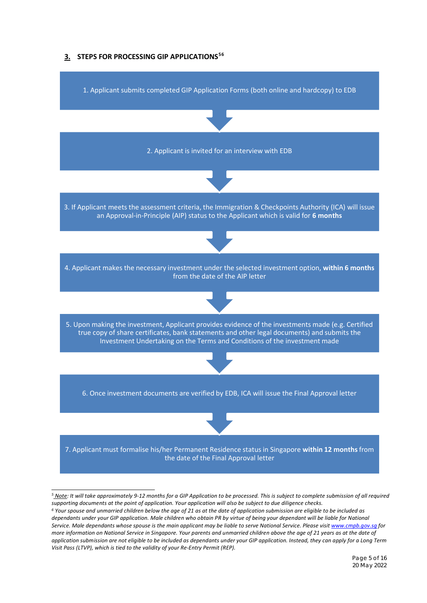<span id="page-4-0"></span>



<span id="page-4-1"></span>*<sup>5</sup> Note: It will take approximately 9-12 months for a GIP Application to be processed. This is subject to complete submission of all required*  supporting documents at the point of application. Your application will also be subject to due diligence checks.<br><sup>6</sup> Your spouse and unmarried children below the age of 21 as at the date of application submission are eligi

<span id="page-4-2"></span>*dependants under your GIP application. Male children who obtain PR by virtue of being your dependant will be liable for National Service. Male dependants whose spouse is the main applicant may be liable to serve National Service. Please visi[t www.cmpb.gov.sg](http://www.cmpb.gov.sg/) for more information on National Service in Singapore. Your parents and unmarried children above the age of 21 years as at the date of application submission are not eligible to be included as dependants under your GIP application. Instead, they can apply for a Long Term Visit Pass (LTVP), which is tied to the validity of your Re-Entry Permit (REP).*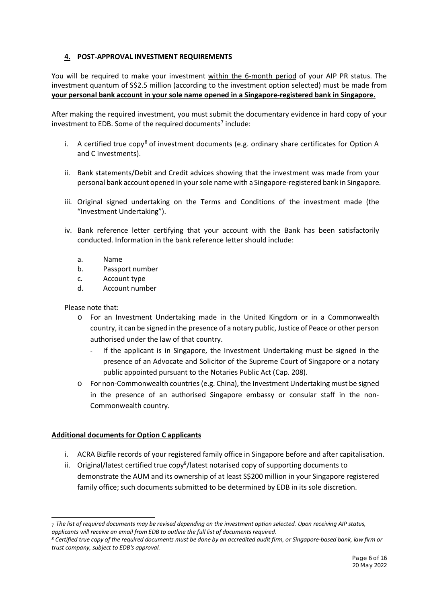## <span id="page-5-0"></span>**4. POST-APPROVAL INVESTMENT REQUIREMENTS**

You will be required to make your investment within the 6-month period of your AIP PR status. The investment quantum of S\$2.5 million (according to the investment option selected) must be made from **your personal bank account in your sole name opened in a Singapore-registered bank in Singapore.**

After making the required investment, you must submit the documentary evidence in hard copy of your investment to EDB. Some of the required documents<sup>[7](#page-5-1)</sup> include:

- i. A certified true copy<sup>[8](#page-5-2)</sup> of investment documents (e.g. ordinary share certificates for Option A and C investments).
- ii. Bank statements/Debit and Credit advices showing that the investment was made from your personal bank account opened in your sole name with a Singapore-registered bank in Singapore.
- iii. Original signed undertaking on the Terms and Conditions of the investment made (the "Investment Undertaking").
- iv. Bank reference letter certifying that your account with the Bank has been satisfactorily conducted. Information in the bank reference letter should include:
	- a. Name
	- b. Passport number
	- c. Account type
	- d. Account number

Please note that:

- o For an Investment Undertaking made in the United Kingdom or in a Commonwealth country, it can be signed in the presence of a notary public, Justice of Peace or other person authorised under the law of that country.
	- If the applicant is in Singapore, the Investment Undertaking must be signed in the presence of an Advocate and Solicitor of the Supreme Court of Singapore or a notary public appointed pursuant to the Notaries Public Act (Cap. 208).
- o For non-Commonwealth countries (e.g. China), the Investment Undertaking must be signed in the presence of an authorised Singapore embassy or consular staff in the non-Commonwealth country.

#### **Additional documents for Option C applicants**

- i. ACRA Bizfile records of your registered family office in Singapore before and after capitalisation.
- ii. Original/latest certified true copy<sup>8</sup>/latest notarised copy of supporting documents to demonstrate the AUM and its ownership of at least S\$200 million in your Singapore registered family office; such documents submitted to be determined by EDB in its sole discretion.

<span id="page-5-1"></span><sup>7</sup> *The list of required documents may be revised depending on the investment option selected. Upon receiving AIP status, applicants will receive an email from EDB to outline the full list of documents required.*

<span id="page-5-2"></span>*<sup>8</sup> Certified true copy of the required documents must be done by an accredited audit firm, or Singapore-based bank, law firm or trust company, subject to EDB's approval.*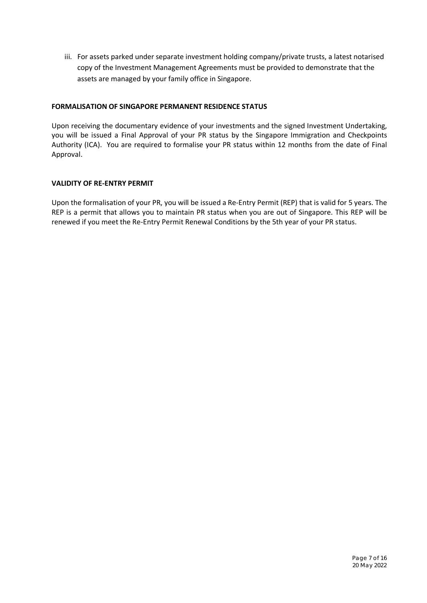iii. For assets parked under separate investment holding company/private trusts, a latest notarised copy of the Investment Management Agreements must be provided to demonstrate that the assets are managed by your family office in Singapore.

## **FORMALISATION OF SINGAPORE PERMANENT RESIDENCE STATUS**

Upon receiving the documentary evidence of your investments and the signed Investment Undertaking, you will be issued a Final Approval of your PR status by the Singapore Immigration and Checkpoints Authority (ICA). You are required to formalise your PR status within 12 months from the date of Final Approval.

## **VALIDITY OF RE-ENTRY PERMIT**

Upon the formalisation of your PR, you will be issued a Re-Entry Permit (REP) that is valid for 5 years. The REP is a permit that allows you to maintain PR status when you are out of Singapore. This REP will be renewed if you meet the Re-Entry Permit Renewal Conditions by the 5th year of your PR status.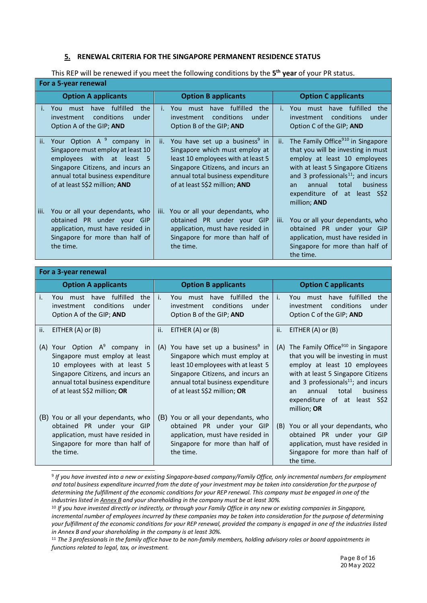#### <span id="page-7-0"></span>**5. RENEWAL CRITERIA FOR THE SINGAPORE PERMANENT RESIDENCE STATUS**

This REP will be renewed if you meet the following conditions by the **5th year** of your PR status.

|      | For a 5-year renewal                                                                                                                                                                                                          |                                                                                                                                                                                                                                      |                                                                                                                                                                                                                                                                                                    |
|------|-------------------------------------------------------------------------------------------------------------------------------------------------------------------------------------------------------------------------------|--------------------------------------------------------------------------------------------------------------------------------------------------------------------------------------------------------------------------------------|----------------------------------------------------------------------------------------------------------------------------------------------------------------------------------------------------------------------------------------------------------------------------------------------------|
|      | <b>Option A applicants</b>                                                                                                                                                                                                    | <b>Option B applicants</b>                                                                                                                                                                                                           | <b>Option Capplicants</b>                                                                                                                                                                                                                                                                          |
|      | fulfilled<br>the<br>You<br>must<br>have<br>conditions<br>under<br>investment<br>Option A of the GIP; AND                                                                                                                      | fulfilled<br>the<br>have<br>You<br>must<br>L.<br>conditions<br>under<br>investment<br>Option B of the GIP; AND                                                                                                                       | have fulfilled<br>the<br>You<br>must<br>L.<br>conditions<br><i>investment</i><br>under<br>Option C of the GIP; AND                                                                                                                                                                                 |
| ii.  | Your Option A <sup>9</sup> company<br>in<br>Singapore must employ at least 10<br>with at least<br>employees<br>- 5<br>Singapore Citizens, and incurs an<br>annual total business expenditure<br>of at least S\$2 million; AND | You have set up a business <sup>9</sup> in<br>ii.<br>Singapore which must employ at<br>least 10 employees with at least 5<br>Singapore Citizens, and incurs an<br>annual total business expenditure<br>of at least S\$2 million; AND | The Family Office <sup>910</sup> in Singapore<br>ii.<br>that you will be investing in must<br>employ at least 10 employees<br>with at least 5 Singapore Citizens<br>and 3 professionals $^{11}$ ; and incurs<br>business<br>annual<br>total<br>an.<br>expenditure of at least S\$2<br>million; AND |
| iii. | You or all your dependants, who<br>PR under your GIP<br>obtained<br>application, must have resided in<br>Singapore for more than half of<br>the time.                                                                         | You or all your dependants, who<br>iii.<br>obtained PR under your<br><b>GIP</b><br>application, must have resided in<br>Singapore for more than half of<br>the time.                                                                 | You or all your dependants, who<br>iii.<br>obtained PR under your GIP<br>application, must have resided in<br>Singapore for more than half of<br>the time.                                                                                                                                         |

|     | For a 3-year renewal                                                                                                                                                                                     |                                                                                                                                                                                                                                     |                                                                                                                                                                                                                                                                                               |
|-----|----------------------------------------------------------------------------------------------------------------------------------------------------------------------------------------------------------|-------------------------------------------------------------------------------------------------------------------------------------------------------------------------------------------------------------------------------------|-----------------------------------------------------------------------------------------------------------------------------------------------------------------------------------------------------------------------------------------------------------------------------------------------|
|     | <b>Option A applicants</b>                                                                                                                                                                               | <b>Option B applicants</b>                                                                                                                                                                                                          | <b>Option Capplicants</b>                                                                                                                                                                                                                                                                     |
| i.  | have fulfilled<br>the<br>You<br>must<br>conditions<br>under<br>investment<br>Option A of the GIP; AND                                                                                                    | have fulfilled<br>i.<br>the<br>You must<br>conditions<br>under<br>investment<br>Option B of the GIP; AND                                                                                                                            | have fulfilled<br>i.<br>the<br>You<br>must<br>conditions<br>under<br>investment<br>Option C of the GIP; AND                                                                                                                                                                                   |
| II. | EITHER $(A)$ or $(B)$                                                                                                                                                                                    | EITHER (A) or (B)<br>ii.                                                                                                                                                                                                            | EITHER $(A)$ or $(B)$<br>ii.                                                                                                                                                                                                                                                                  |
| (A) | Your Option $A^9$ company in<br>Singapore must employ at least<br>10 employees with at least 5<br>Singapore Citizens, and incurs an<br>annual total business expenditure<br>of at least S\$2 million; OR | You have set up a business <sup>9</sup> in<br>(A)<br>Singapore which must employ at<br>least 10 employees with at least 5<br>Singapore Citizens, and incurs an<br>annual total business expenditure<br>of at least S\$2 million; OR | (A) The Family Office <sup>910</sup> in Singapore<br>that you will be investing in must<br>employ at least 10 employees<br>with at least 5 Singapore Citizens<br>and 3 professionals $^{11}$ ; and incurs<br>annual<br>business<br>total<br>an<br>expenditure of at least S\$2<br>million; OR |
|     | (B) You or all your dependants, who<br>obtained PR under your GIP<br>application, must have resided in<br>Singapore for more than half of<br>the time.                                                   | (B) You or all your dependants, who<br>obtained PR under your GIP<br>application, must have resided in<br>Singapore for more than half of<br>the time.                                                                              | You or all your dependants, who<br>(B)<br>obtained PR under your GIP<br>application, must have resided in<br>Singapore for more than half of<br>the time.                                                                                                                                     |

<span id="page-7-1"></span><sup>9</sup> *If you have invested into a new or existing Singapore-based company/Family Office, only incremental numbers for employment and total business expenditure incurred from the date of your investment may be taken into consideration for the purpose of determining the fulfillment of the economic conditions for your REP renewal. This company must be engaged in one of the industries listed in Annex B and your shareholding in the company must be at least 30%.*

<span id="page-7-2"></span><sup>10</sup> *If you have invested directly or indirectly, or through your Family Office in any new or existing companies in Singapore, incremental number of employees incurred by these companies may be taken into consideration for the purpose of determining your fulfillment of the economic conditions for your REP renewal, provided the company is engaged in one of the industries listed in Annex B and your shareholding in the company is at least 30%.*

<span id="page-7-3"></span><sup>11</sup> *The 3 professionals in the family office have to be non-family members, holding advisory roles or board appointments in functions related to legal, tax, or investment.*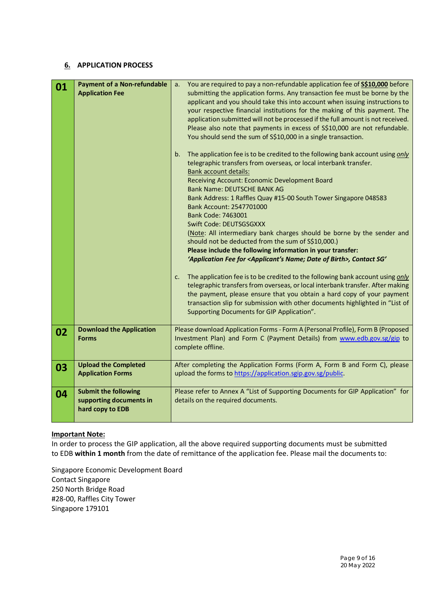#### <span id="page-8-0"></span>**6. APPLICATION PROCESS**

| 01 | <b>Payment of a Non-refundable</b><br><b>Application Fee</b>               | You are required to pay a non-refundable application fee of S\$10,000 before<br>a.<br>submitting the application forms. Any transaction fee must be borne by the<br>applicant and you should take this into account when issuing instructions to<br>your respective financial institutions for the making of this payment. The<br>application submitted will not be processed if the full amount is not received.<br>Please also note that payments in excess of S\$10,000 are not refundable.<br>You should send the sum of S\$10,000 in a single transaction.<br>The application fee is to be credited to the following bank account using only<br>b.<br>telegraphic transfers from overseas, or local interbank transfer.<br><b>Bank account details:</b><br>Receiving Account: Economic Development Board |
|----|----------------------------------------------------------------------------|---------------------------------------------------------------------------------------------------------------------------------------------------------------------------------------------------------------------------------------------------------------------------------------------------------------------------------------------------------------------------------------------------------------------------------------------------------------------------------------------------------------------------------------------------------------------------------------------------------------------------------------------------------------------------------------------------------------------------------------------------------------------------------------------------------------|
|    |                                                                            | Bank Name: DEUTSCHE BANK AG<br>Bank Address: 1 Raffles Quay #15-00 South Tower Singapore 048583<br>Bank Account: 2547701000<br>Bank Code: 7463001<br>Swift Code: DEUTSGSGXXX<br>(Note: All intermediary bank charges should be borne by the sender and<br>should not be deducted from the sum of S\$10,000.)<br>Please include the following information in your transfer:<br>'Application Fee for <applicant's birth="" date="" name;="" of="">, Contact SG'<br/>The application fee is to be credited to the following bank account using only<br/>C.</applicant's>                                                                                                                                                                                                                                         |
|    |                                                                            | telegraphic transfers from overseas, or local interbank transfer. After making<br>the payment, please ensure that you obtain a hard copy of your payment<br>transaction slip for submission with other documents highlighted in "List of<br>Supporting Documents for GIP Application".                                                                                                                                                                                                                                                                                                                                                                                                                                                                                                                        |
| 02 | <b>Download the Application</b><br><b>Forms</b>                            | Please download Application Forms - Form A (Personal Profile), Form B (Proposed<br>Investment Plan) and Form C (Payment Details) from www.edb.gov.sg/gip to<br>complete offline.                                                                                                                                                                                                                                                                                                                                                                                                                                                                                                                                                                                                                              |
| 03 | <b>Upload the Completed</b><br><b>Application Forms</b>                    | After completing the Application Forms (Form A, Form B and Form C), please<br>upload the forms to https://application.sgip.gov.sg/public.                                                                                                                                                                                                                                                                                                                                                                                                                                                                                                                                                                                                                                                                     |
| 04 | <b>Submit the following</b><br>supporting documents in<br>hard copy to EDB | Please refer to Annex A "List of Supporting Documents for GIP Application" for<br>details on the required documents.                                                                                                                                                                                                                                                                                                                                                                                                                                                                                                                                                                                                                                                                                          |

## **Important Note:**

In order to process the GIP application, all the above required supporting documents must be submitted to EDB **within 1 month** from the date of remittance of the application fee. Please mail the documents to:

Singapore Economic Development Board Contact Singapore 250 North Bridge Road #28-00, Raffles City Tower Singapore 179101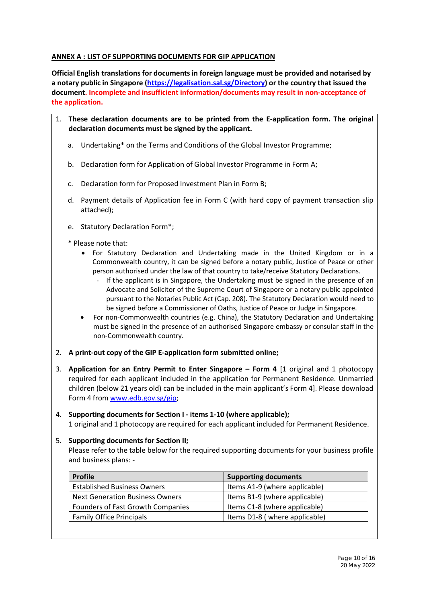## <span id="page-9-0"></span>**ANNEX A : LIST OF SUPPORTING DOCUMENTS FOR GIP APPLICATION**

**Official English translations for documents in foreign language must be provided and notarised by a notary public in Singapore [\(https://legalisation.sal.sg/Directory\)](https://legalisation.sal.sg/Directory) or the country that issued the document. Incomplete and insufficient information/documents may result in non-acceptance of the application.**

- 1. **These declaration documents are to be printed from the E-application form. The original declaration documents must be signed by the applicant.**
	- a. Undertaking\* on the Terms and Conditions of the Global Investor Programme;
	- b. Declaration form for Application of Global Investor Programme in Form A;
	- c. Declaration form for Proposed Investment Plan in Form B;
	- d. Payment details of Application fee in Form C (with hard copy of payment transaction slip attached);
	- e. Statutory Declaration Form\*;
	- \* Please note that:
		- For Statutory Declaration and Undertaking made in the United Kingdom or in a Commonwealth country, it can be signed before a notary public, Justice of Peace or other person authorised under the law of that country to take/receive Statutory Declarations.
			- If the applicant is in Singapore, the Undertaking must be signed in the presence of an Advocate and Solicitor of the Supreme Court of Singapore or a notary public appointed pursuant to the Notaries Public Act (Cap. 208). The Statutory Declaration would need to be signed before a Commissioner of Oaths, Justice of Peace or Judge in Singapore.
		- For non-Commonwealth countries (e.g. China), the Statutory Declaration and Undertaking must be signed in the presence of an authorised Singapore embassy or consular staff in the non-Commonwealth country.
- 2. **A print-out copy of the GIP E-application form submitted online;**
- 3. **Application for an Entry Permit to Enter Singapore – Form 4** [1 original and 1 photocopy required for each applicant included in the application for Permanent Residence. Unmarried children (below 21 years old) can be included in the main applicant's Form 4]. Please download Form 4 from [www.edb.gov.sg/gip;](http://www.edb.gov.sg/gip)

## 4. **Supporting documents for Section I - items 1-10 (where applicable);**

1 original and 1 photocopy are required for each applicant included for Permanent Residence.

#### 5. **Supporting documents for Section II;**

Please refer to the table below for the required supporting documents for your business profile and business plans: -

| <b>Profile</b>                           | <b>Supporting documents</b>   |
|------------------------------------------|-------------------------------|
| <b>Established Business Owners</b>       | Items A1-9 (where applicable) |
| <b>Next Generation Business Owners</b>   | Items B1-9 (where applicable) |
| <b>Founders of Fast Growth Companies</b> | Items C1-8 (where applicable) |
| <b>Family Office Principals</b>          | Items D1-8 (where applicable) |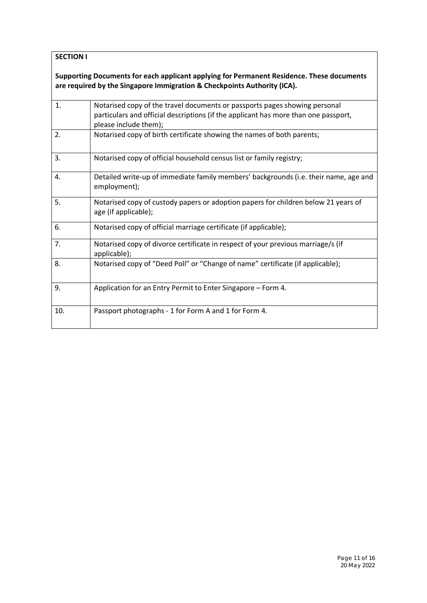## **SECTION I**

**Supporting Documents for each applicant applying for Permanent Residence. These documents are required by the Singapore Immigration & Checkpoints Authority (ICA).**

| 1.  | Notarised copy of the travel documents or passports pages showing personal<br>particulars and official descriptions (if the applicant has more than one passport,<br>please include them); |
|-----|--------------------------------------------------------------------------------------------------------------------------------------------------------------------------------------------|
| 2.  | Notarised copy of birth certificate showing the names of both parents;                                                                                                                     |
| 3.  | Notarised copy of official household census list or family registry;                                                                                                                       |
| 4.  | Detailed write-up of immediate family members' backgrounds (i.e. their name, age and<br>employment);                                                                                       |
| 5.  | Notarised copy of custody papers or adoption papers for children below 21 years of<br>age (if applicable);                                                                                 |
| 6.  | Notarised copy of official marriage certificate (if applicable);                                                                                                                           |
| 7.  | Notarised copy of divorce certificate in respect of your previous marriage/s (if<br>applicable);                                                                                           |
| 8.  | Notarised copy of "Deed Poll" or "Change of name" certificate (if applicable);                                                                                                             |
| 9.  | Application for an Entry Permit to Enter Singapore - Form 4.                                                                                                                               |
| 10. | Passport photographs - 1 for Form A and 1 for Form 4.                                                                                                                                      |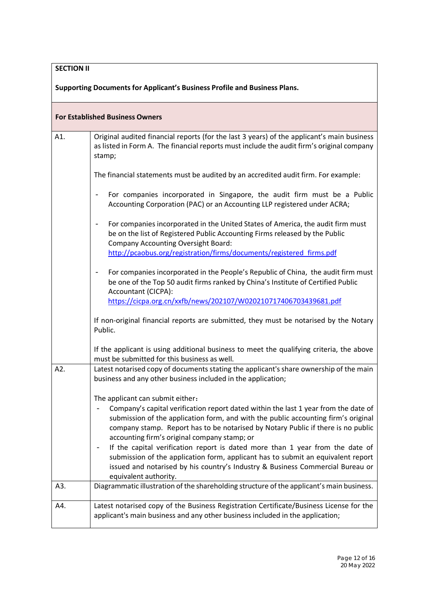# **SECTION II**

**Supporting Documents for Applicant's Business Profile and Business Plans.**

|     | <b>For Established Business Owners</b>                                                                                                                                                                                                                                       |
|-----|------------------------------------------------------------------------------------------------------------------------------------------------------------------------------------------------------------------------------------------------------------------------------|
| A1. | Original audited financial reports (for the last 3 years) of the applicant's main business<br>as listed in Form A. The financial reports must include the audit firm's original company<br>stamp;                                                                            |
|     | The financial statements must be audited by an accredited audit firm. For example:                                                                                                                                                                                           |
|     | For companies incorporated in Singapore, the audit firm must be a Public<br>$\overline{\phantom{a}}$<br>Accounting Corporation (PAC) or an Accounting LLP registered under ACRA;                                                                                             |
|     | For companies incorporated in the United States of America, the audit firm must<br>$\overline{\phantom{0}}$<br>be on the list of Registered Public Accounting Firms released by the Public<br><b>Company Accounting Oversight Board:</b>                                     |
|     | http://pcaobus.org/registration/firms/documents/registered firms.pdf                                                                                                                                                                                                         |
|     | For companies incorporated in the People's Republic of China, the audit firm must<br>$\overline{\phantom{a}}$<br>be one of the Top 50 audit firms ranked by China's Institute of Certified Public<br>Accountant (CICPA):                                                     |
|     | https://cicpa.org.cn/xxfb/news/202107/W020210717406703439681.pdf                                                                                                                                                                                                             |
|     | If non-original financial reports are submitted, they must be notarised by the Notary<br>Public.                                                                                                                                                                             |
|     | If the applicant is using additional business to meet the qualifying criteria, the above<br>must be submitted for this business as well.                                                                                                                                     |
| A2. | Latest notarised copy of documents stating the applicant's share ownership of the main<br>business and any other business included in the application;                                                                                                                       |
|     | The applicant can submit either:<br>Company's capital verification report dated within the last 1 year from the date of                                                                                                                                                      |
|     | submission of the application form, and with the public accounting firm's original<br>company stamp. Report has to be notarised by Notary Public if there is no public<br>accounting firm's original company stamp; or                                                       |
|     | If the capital verification report is dated more than 1 year from the date of<br>submission of the application form, applicant has to submit an equivalent report<br>issued and notarised by his country's Industry & Business Commercial Bureau or<br>equivalent authority. |
| A3. | Diagrammatic illustration of the shareholding structure of the applicant's main business.                                                                                                                                                                                    |
| A4. | Latest notarised copy of the Business Registration Certificate/Business License for the<br>applicant's main business and any other business included in the application;                                                                                                     |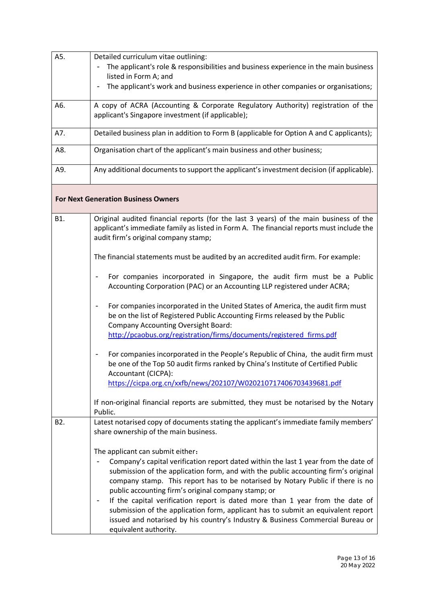| A5.              | Detailed curriculum vitae outlining:                                                                                                                                                                                                                                                                               |
|------------------|--------------------------------------------------------------------------------------------------------------------------------------------------------------------------------------------------------------------------------------------------------------------------------------------------------------------|
|                  | The applicant's role & responsibilities and business experience in the main business<br>listed in Form A; and                                                                                                                                                                                                      |
|                  | The applicant's work and business experience in other companies or organisations;                                                                                                                                                                                                                                  |
| A6.              | A copy of ACRA (Accounting & Corporate Regulatory Authority) registration of the<br>applicant's Singapore investment (if applicable);                                                                                                                                                                              |
| A7.              | Detailed business plan in addition to Form B (applicable for Option A and C applicants);                                                                                                                                                                                                                           |
| A8.              | Organisation chart of the applicant's main business and other business;                                                                                                                                                                                                                                            |
| A9.              | Any additional documents to support the applicant's investment decision (if applicable).                                                                                                                                                                                                                           |
|                  | <b>For Next Generation Business Owners</b>                                                                                                                                                                                                                                                                         |
| B1.              | Original audited financial reports (for the last 3 years) of the main business of the<br>applicant's immediate family as listed in Form A. The financial reports must include the<br>audit firm's original company stamp;                                                                                          |
|                  | The financial statements must be audited by an accredited audit firm. For example:                                                                                                                                                                                                                                 |
|                  | For companies incorporated in Singapore, the audit firm must be a Public<br>$\qquad \qquad \blacksquare$<br>Accounting Corporation (PAC) or an Accounting LLP registered under ACRA;                                                                                                                               |
|                  | For companies incorporated in the United States of America, the audit firm must<br>$\overline{\phantom{0}}$<br>be on the list of Registered Public Accounting Firms released by the Public<br><b>Company Accounting Oversight Board:</b><br>http://pcaobus.org/registration/firms/documents/registered firms.pdf   |
|                  | For companies incorporated in the People's Republic of China, the audit firm must<br>$\overline{\phantom{m}}$<br>be one of the Top 50 audit firms ranked by China's Institute of Certified Public<br>Accountant (CICPA):                                                                                           |
|                  | https://cicpa.org.cn/xxfb/news/202107/W020210717406703439681.pdf                                                                                                                                                                                                                                                   |
|                  | If non-original financial reports are submitted, they must be notarised by the Notary<br>Public.                                                                                                                                                                                                                   |
| B <sub>2</sub> . | Latest notarised copy of documents stating the applicant's immediate family members'<br>share ownership of the main business.                                                                                                                                                                                      |
|                  | The applicant can submit either:                                                                                                                                                                                                                                                                                   |
|                  | Company's capital verification report dated within the last 1 year from the date of<br>submission of the application form, and with the public accounting firm's original<br>company stamp. This report has to be notarised by Notary Public if there is no<br>public accounting firm's original company stamp; or |
|                  | If the capital verification report is dated more than 1 year from the date of<br>submission of the application form, applicant has to submit an equivalent report<br>issued and notarised by his country's Industry & Business Commercial Bureau or<br>equivalent authority.                                       |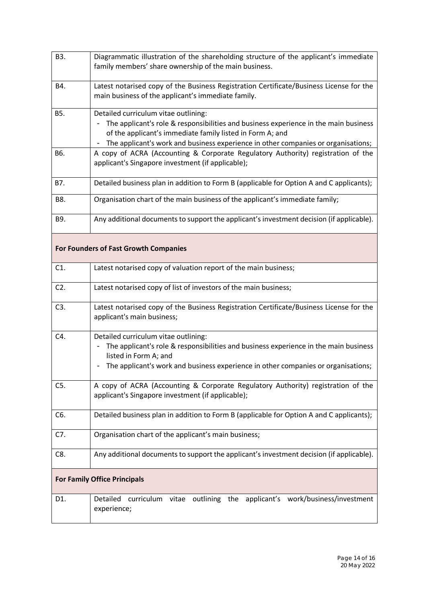| B3.    | Diagrammatic illustration of the shareholding structure of the applicant's immediate<br>family members' share ownership of the main business.                                                                                                                                  |
|--------|--------------------------------------------------------------------------------------------------------------------------------------------------------------------------------------------------------------------------------------------------------------------------------|
| B4.    | Latest notarised copy of the Business Registration Certificate/Business License for the<br>main business of the applicant's immediate family.                                                                                                                                  |
| B5.    | Detailed curriculum vitae outlining:<br>The applicant's role & responsibilities and business experience in the main business<br>of the applicant's immediate family listed in Form A; and<br>The applicant's work and business experience in other companies or organisations; |
| B6.    | A copy of ACRA (Accounting & Corporate Regulatory Authority) registration of the<br>applicant's Singapore investment (if applicable);                                                                                                                                          |
| B7.    | Detailed business plan in addition to Form B (applicable for Option A and C applicants);                                                                                                                                                                                       |
| B8.    | Organisation chart of the main business of the applicant's immediate family;                                                                                                                                                                                                   |
| B9.    | Any additional documents to support the applicant's investment decision (if applicable).                                                                                                                                                                                       |
|        | <b>For Founders of Fast Growth Companies</b>                                                                                                                                                                                                                                   |
| C1.    | Latest notarised copy of valuation report of the main business;                                                                                                                                                                                                                |
| $C2$ . | Latest notarised copy of list of investors of the main business;                                                                                                                                                                                                               |
| C3.    | Latest notarised copy of the Business Registration Certificate/Business License for the<br>applicant's main business;                                                                                                                                                          |
| C4.    | Detailed curriculum vitae outlining:<br>The applicant's role & responsibilities and business experience in the main business<br>listed in Form A; and<br>The applicant's work and business experience in other companies or organisations;                                     |
| C5.    | A copy of ACRA (Accounting & Corporate Regulatory Authority) registration of the<br>applicant's Singapore investment (if applicable);                                                                                                                                          |
| C6.    | Detailed business plan in addition to Form B (applicable for Option A and C applicants);                                                                                                                                                                                       |
| C7.    | Organisation chart of the applicant's main business;                                                                                                                                                                                                                           |
| C8.    | Any additional documents to support the applicant's investment decision (if applicable).                                                                                                                                                                                       |
|        | <b>For Family Office Principals</b>                                                                                                                                                                                                                                            |
| D1.    | curriculum vitae outlining the applicant's work/business/investment<br>Detailed<br>experience;                                                                                                                                                                                 |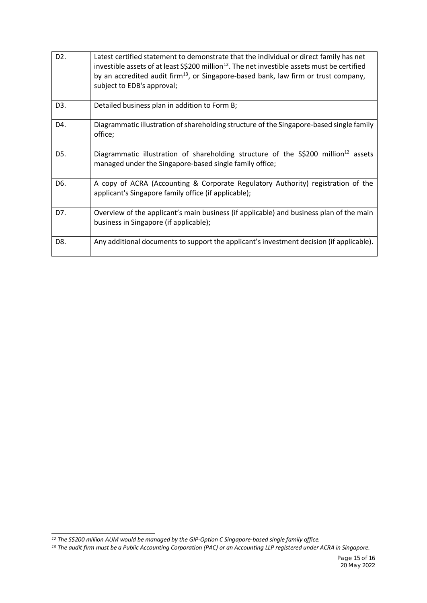| D <sub>2</sub> . | Latest certified statement to demonstrate that the individual or direct family has net<br>investible assets of at least $S\$ {200} million <sup>12</sup> . The net investible assets must be certified<br>by an accredited audit firm <sup>13</sup> , or Singapore-based bank, law firm or trust company,<br>subject to EDB's approval; |
|------------------|-----------------------------------------------------------------------------------------------------------------------------------------------------------------------------------------------------------------------------------------------------------------------------------------------------------------------------------------|
| D <sub>3</sub> . | Detailed business plan in addition to Form B;                                                                                                                                                                                                                                                                                           |
| D4.              | Diagrammatic illustration of shareholding structure of the Singapore-based single family<br>office;                                                                                                                                                                                                                                     |
| D5.              | Diagrammatic illustration of shareholding structure of the S\$200 million <sup>12</sup> assets<br>managed under the Singapore-based single family office;                                                                                                                                                                               |
| D6.              | A copy of ACRA (Accounting & Corporate Regulatory Authority) registration of the<br>applicant's Singapore family office (if applicable);                                                                                                                                                                                                |
| D7.              | Overview of the applicant's main business (if applicable) and business plan of the main<br>business in Singapore (if applicable);                                                                                                                                                                                                       |
| D8.              | Any additional documents to support the applicant's investment decision (if applicable).                                                                                                                                                                                                                                                |

<span id="page-14-1"></span><span id="page-14-0"></span> $12$  The S\$200 million AUM would be managed by the GIP-Option C Singapore-based single family office.<br> $13$  The audit firm must be a Public Accounting Corporation (PAC) or an Accounting LLP registered under ACRA in Singapo